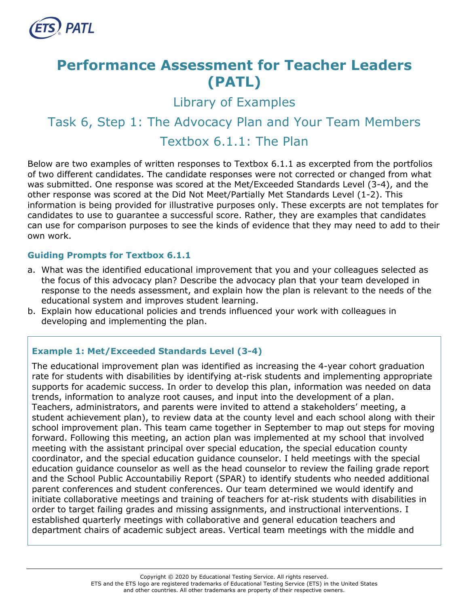

## **Performance Assessment for Teacher Leaders (PATL)**

Library of Examples

# Task 6, Step 1: The Advocacy Plan and Your Team Members

### Textbox 6.1.1: The Plan

Below are two examples of written responses to Textbox 6.1.1 as excerpted from the portfolios of two different candidates. The candidate responses were not corrected or changed from what was submitted. One response was scored at the Met/Exceeded Standards Level (3-4), and the other response was scored at the Did Not Meet/Partially Met Standards Level (1-2). This information is being provided for illustrative purposes only. These excerpts are not templates for candidates to use to guarantee a successful score. Rather, they are examples that candidates can use for comparison purposes to see the kinds of evidence that they may need to add to their own work.

#### **Guiding Prompts for Textbox 6.1.1**

- a. What was the identified educational improvement that you and your colleagues selected as the focus of this advocacy plan? Describe the advocacy plan that your team developed in response to the needs assessment, and explain how the plan is relevant to the needs of the educational system and improves student learning.
- b. Explain how educational policies and trends influenced your work with colleagues in developing and implementing the plan.

#### **Example 1: Met/Exceeded Standards Level (3-4)**

The educational improvement plan was identified as increasing the 4-year cohort graduation rate for students with disabilities by identifying at-risk students and implementing appropriate supports for academic success. In order to develop this plan, information was needed on data trends, information to analyze root causes, and input into the development of a plan. Teachers, administrators, and parents were invited to attend a stakeholders' meeting, a student achievement plan), to review data at the county level and each school along with their school improvement plan. This team came together in September to map out steps for moving forward. Following this meeting, an action plan was implemented at my school that involved meeting with the assistant principal over special education, the special education county coordinator, and the special education guidance counselor. I held meetings with the special education guidance counselor as well as the head counselor to review the failing grade report and the School Public Accountabiliy Report (SPAR) to identify students who needed additional parent conferences and student conferences. Our team determined we would identify and initiate collaborative meetings and training of teachers for at-risk students with disabilities in order to target failing grades and missing assignments, and instructional interventions. I established quarterly meetings with collaborative and general education teachers and department chairs of academic subject areas. Vertical team meetings with the middle and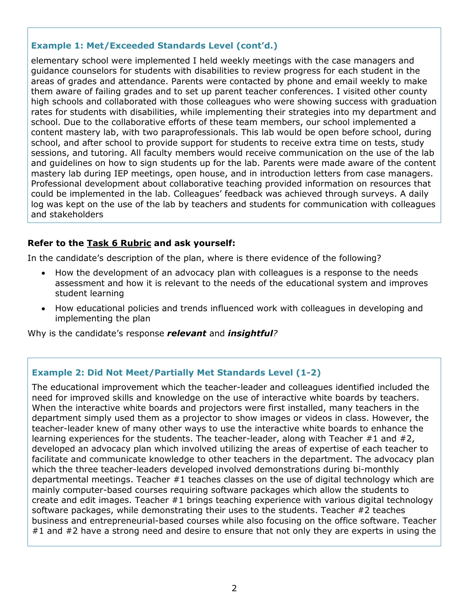#### **Example 1: Met/Exceeded Standards Level (cont'd.)**

elementary school were implemented I held weekly meetings with the case managers and guidance counselors for students with disabilities to review progress for each student in the areas of grades and attendance. Parents were contacted by phone and email weekly to make them aware of failing grades and to set up parent teacher conferences. I visited other county high schools and collaborated with those colleagues who were showing success with graduation rates for students with disabilities, while implementing their strategies into my department and school. Due to the collaborative efforts of these team members, our school implemented a content mastery lab, with two paraprofessionals. This lab would be open before school, during school, and after school to provide support for students to receive extra time on tests, study sessions, and tutoring. All faculty members would receive communication on the use of the lab and guidelines on how to sign students up for the lab. Parents were made aware of the content mastery lab during IEP meetings, open house, and in introduction letters from case managers. Professional development about collaborative teaching provided information on resources that could be implemented in the lab. Colleagues' feedback was achieved through surveys. A daily log was kept on the use of the lab by teachers and students for communication with colleagues and stakeholders

#### **Refer to the [Task 6](http://gace.ets.org/s/pdf/gace_teacher_leadership_assessment_task_6_rubric.pdf) Rubric and ask yourself:**

In the candidate's description of the plan, where is there evidence of the following?

- How the development of an advocacy plan with colleagues is a response to the needs assessment and how it is relevant to the needs of the educational system and improves student learning
- How educational policies and trends influenced work with colleagues in developing and implementing the plan

Why is the candidate's response *relevant* and *insightful?*

#### **Example 2: Did Not Meet/Partially Met Standards Level (1-2)**

The educational improvement which the teacher-leader and colleagues identified included the need for improved skills and knowledge on the use of interactive white boards by teachers. When the interactive white boards and projectors were first installed, many teachers in the department simply used them as a projector to show images or videos in class. However, the teacher-leader knew of many other ways to use the interactive white boards to enhance the learning experiences for the students. The teacher-leader, along with Teacher #1 and #2, developed an advocacy plan which involved utilizing the areas of expertise of each teacher to facilitate and communicate knowledge to other teachers in the department. The advocacy plan which the three teacher-leaders developed involved demonstrations during bi-monthly departmental meetings. Teacher #1 teaches classes on the use of digital technology which are mainly computer-based courses requiring software packages which allow the students to create and edit images. Teacher #1 brings teaching experience with various digital technology software packages, while demonstrating their uses to the students. Teacher #2 teaches business and entrepreneurial-based courses while also focusing on the office software. Teacher #1 and #2 have a strong need and desire to ensure that not only they are experts in using the